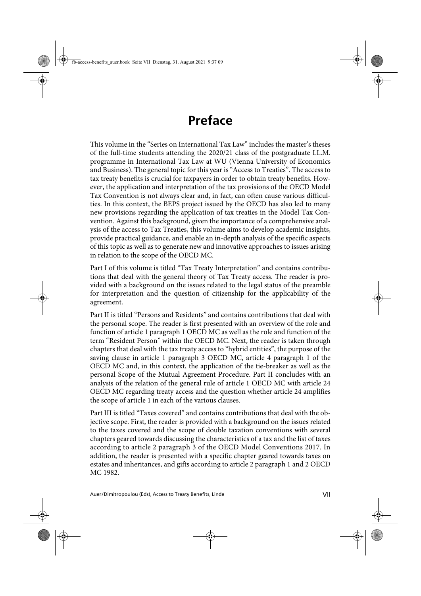## **Preface**

This volume in the "Series on International Tax Law" includes the master's theses of the full-time students attending the 2020/21 class of the postgraduate LL.M. programme in International Tax Law at WU (Vienna University of Economics and Business). The general topic for this year is "Access to Treaties". The access to tax treaty benefits is crucial for taxpayers in order to obtain treaty benefits. However, the application and interpretation of the tax provisions of the OECD Model Tax Convention is not always clear and, in fact, can often cause various difficulties. In this context, the BEPS project issued by the OECD has also led to many new provisions regarding the application of tax treaties in the Model Tax Convention. Against this background, given the importance of a comprehensive analysis of the access to Tax Treaties, this volume aims to develop academic insights, provide practical guidance, and enable an in-depth analysis of the specific aspects of this topic as well as to generate new and innovative approaches to issues arising in relation to the scope of the OECD MC.

Part I of this volume is titled "Tax Treaty Interpretation" and contains contributions that deal with the general theory of Tax Treaty access. The reader is provided with a background on the issues related to the legal status of the preamble for interpretation and the question of citizenship for the applicability of the agreement.

Part II is titled "Persons and Residents" and contains contributions that deal with the personal scope. The reader is first presented with an overview of the role and function of article 1 paragraph 1 OECD MC as well as the role and function of the term "Resident Person" within the OECD MC. Next, the reader is taken through chapters that deal with the tax treaty access to "hybrid entities", the purpose of the saving clause in article 1 paragraph 3 OECD MC, article 4 paragraph 1 of the OECD MC and, in this context, the application of the tie-breaker as well as the personal Scope of the Mutual Agreement Procedure. Part II concludes with an analysis of the relation of the general rule of article 1 OECD MC with article 24 OECD MC regarding treaty access and the question whether article 24 amplifies the scope of article 1 in each of the various clauses.

Part III is titled "Taxes covered" and contains contributions that deal with the objective scope. First, the reader is provided with a background on the issues related to the taxes covered and the scope of double taxation conventions with several chapters geared towards discussing the characteristics of a tax and the list of taxes according to article 2 paragraph 3 of the OECD Model Conventions 2017. In addition, the reader is presented with a specific chapter geared towards taxes on estates and inheritances, and gifts according to article 2 paragraph 1 and 2 OECD MC 1982.